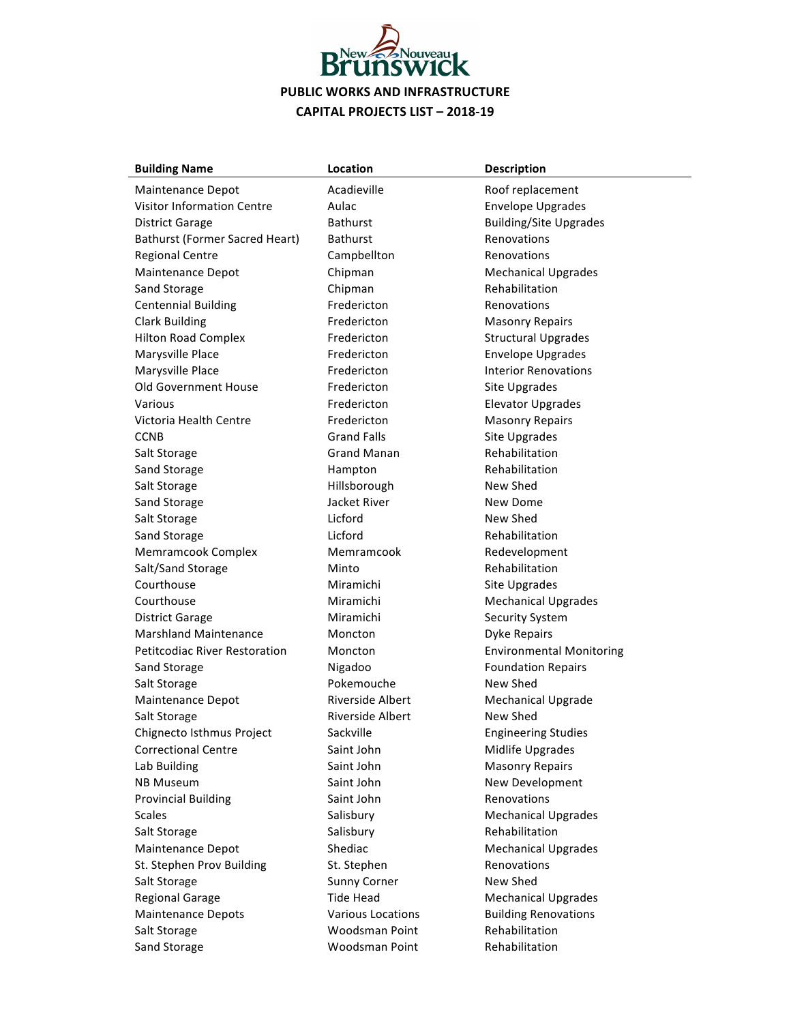

| <b>Building Name</b>                  | Location                 | <b>Description</b>              |
|---------------------------------------|--------------------------|---------------------------------|
| Maintenance Depot                     | Acadieville              | Roof replacement                |
| <b>Visitor Information Centre</b>     | Aulac                    | <b>Envelope Upgrades</b>        |
| <b>District Garage</b>                | <b>Bathurst</b>          | <b>Building/Site Upgrades</b>   |
| <b>Bathurst (Former Sacred Heart)</b> | <b>Bathurst</b>          | Renovations                     |
| <b>Regional Centre</b>                | Campbellton              | Renovations                     |
| Maintenance Depot                     | Chipman                  | <b>Mechanical Upgrades</b>      |
| Sand Storage                          | Chipman                  | Rehabilitation                  |
| <b>Centennial Building</b>            | Fredericton              | Renovations                     |
| <b>Clark Building</b>                 | Fredericton              | <b>Masonry Repairs</b>          |
| <b>Hilton Road Complex</b>            | Fredericton              | <b>Structural Upgrades</b>      |
| Marysville Place                      | Fredericton              | <b>Envelope Upgrades</b>        |
| Marysville Place                      | Fredericton              | <b>Interior Renovations</b>     |
| <b>Old Government House</b>           | Fredericton              | Site Upgrades                   |
| Various                               | Fredericton              | <b>Elevator Upgrades</b>        |
| Victoria Health Centre                | Fredericton              | <b>Masonry Repairs</b>          |
| <b>CCNB</b>                           | <b>Grand Falls</b>       | Site Upgrades                   |
| Salt Storage                          | <b>Grand Manan</b>       | Rehabilitation                  |
| Sand Storage                          | Hampton                  | Rehabilitation                  |
| Salt Storage                          | Hillsborough             | New Shed                        |
| Sand Storage                          | Jacket River             | New Dome                        |
| Salt Storage                          | Licford                  | New Shed                        |
| Sand Storage                          | Licford                  | Rehabilitation                  |
| Memramcook Complex                    | Memramcook               | Redevelopment                   |
| Salt/Sand Storage                     | Minto                    | Rehabilitation                  |
| Courthouse                            | Miramichi                | Site Upgrades                   |
| Courthouse                            | Miramichi                | <b>Mechanical Upgrades</b>      |
| <b>District Garage</b>                | Miramichi                | <b>Security System</b>          |
| <b>Marshland Maintenance</b>          | Moncton                  | <b>Dyke Repairs</b>             |
| <b>Petitcodiac River Restoration</b>  | Moncton                  | <b>Environmental Monitoring</b> |
| Sand Storage                          | Nigadoo                  | <b>Foundation Repairs</b>       |
| Salt Storage                          | Pokemouche               | New Shed                        |
| Maintenance Depot                     | <b>Riverside Albert</b>  | <b>Mechanical Upgrade</b>       |
| Salt Storage                          | <b>Riverside Albert</b>  | New Shed                        |
| Chignecto Isthmus Project             | Sackville                | <b>Engineering Studies</b>      |
| <b>Correctional Centre</b>            | Saint John               | Midlife Upgrades                |
| Lab Building                          | Saint John               | <b>Masonry Repairs</b>          |
| <b>NB Museum</b>                      | Saint John               | New Development                 |
| <b>Provincial Building</b>            | Saint John               | Renovations                     |
| <b>Scales</b>                         | Salisbury                | <b>Mechanical Upgrades</b>      |
| Salt Storage                          | Salisbury                | Rehabilitation                  |
| Maintenance Depot                     | Shediac                  | <b>Mechanical Upgrades</b>      |
| St. Stephen Prov Building             | St. Stephen              | Renovations                     |
| Salt Storage                          | <b>Sunny Corner</b>      | New Shed                        |
| <b>Regional Garage</b>                | <b>Tide Head</b>         | <b>Mechanical Upgrades</b>      |
| <b>Maintenance Depots</b>             | <b>Various Locations</b> | <b>Building Renovations</b>     |
| Salt Storage                          | Woodsman Point           | Rehabilitation                  |
| Sand Storage                          | Woodsman Point           | Rehabilitation                  |